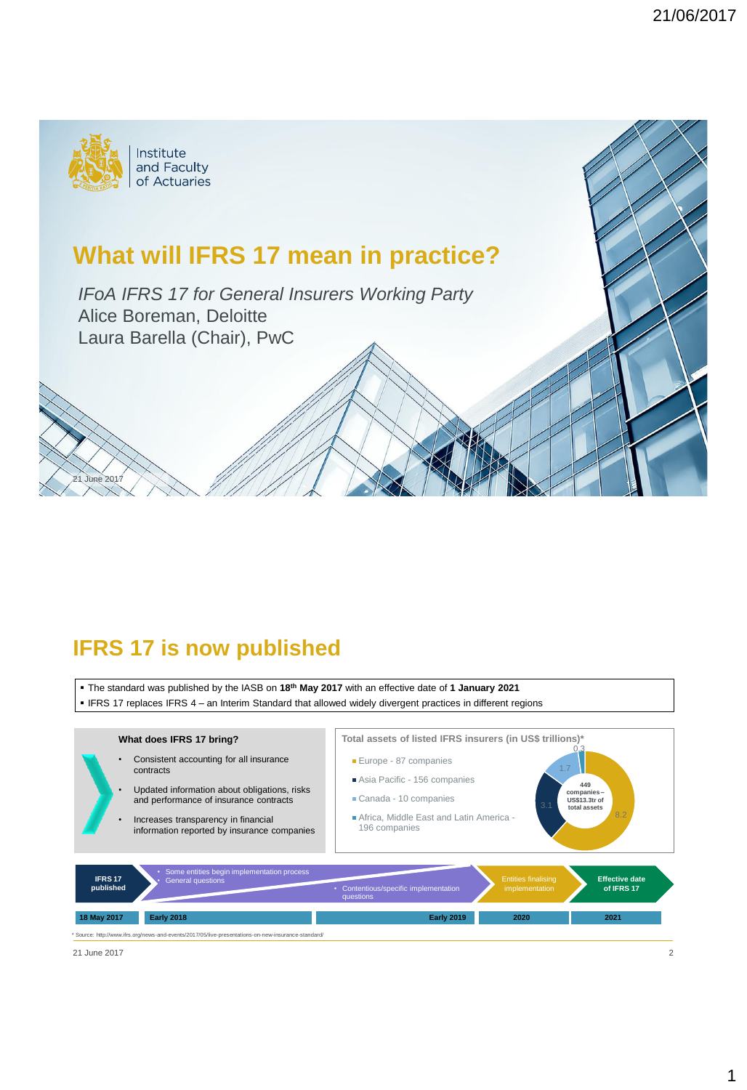

**1e 20** 

# **What will IFRS 17 mean in practice?**

*IFoA IFRS 17 for General Insurers Working Party* Alice Boreman, Deloitte Laura Barella (Chair), PwC

### **IFRS 17 is now published**

The standard was published by the IASB on **18th May 2017** with an effective date of **1 January 2021**

IFRS 17 replaces IFRS 4 – an Interim Standard that allowed widely divergent practices in different regions



21 June 2017 2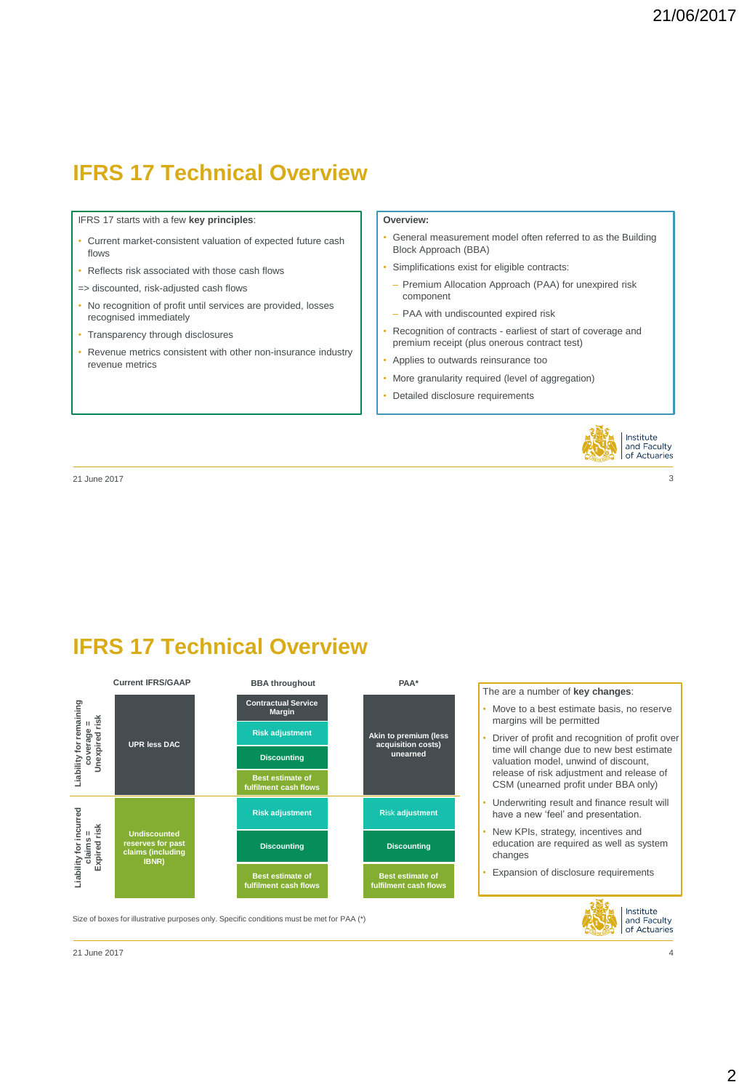# **IFRS 17 Technical Overview**

IFRS 17 starts with a few **key principles**:

- Current market-consistent valuation of expected future cash flows
- Reflects risk associated with those cash flows
- => discounted, risk-adjusted cash flows
- No recognition of profit until services are provided, losses recognised immediately
- Transparency through disclosures
- Revenue metrics consistent with other non-insurance industry revenue metrics

#### **Overview:**

- General measurement model often referred to as the Building Block Approach (BBA)
- Simplifications exist for eligible contracts:
	- Premium Allocation Approach (PAA) for unexpired risk component
	- PAA with undiscounted expired risk
- Recognition of contracts earliest of start of coverage and premium receipt (plus onerous contract test)
- Applies to outwards reinsurance too
- More granularity required (level of aggregation)
- Detailed disclosure requirements



21 June 2017 3

**IFRS 17 Technical Overview**

Size of boxes for illustrative purposes only. Specific conditions must be met for PAA (\*)



The are a number of **key changes**:

- Move to a best estimate basis, no reserve margins will be permitted
- Driver of profit and recognition of profit over time will change due to new best estimate valuation model, unwind of discount, release of risk adjustment and release of CSM (unearned profit under BBA only)
- Underwriting result and finance result will have a new 'feel' and presentation.
- New KPIs, strategy, incentives and education are required as well as system changes
- Expansion of disclosure requirements

Institute<br>and Faculty of Actuaries

21 June 2017 4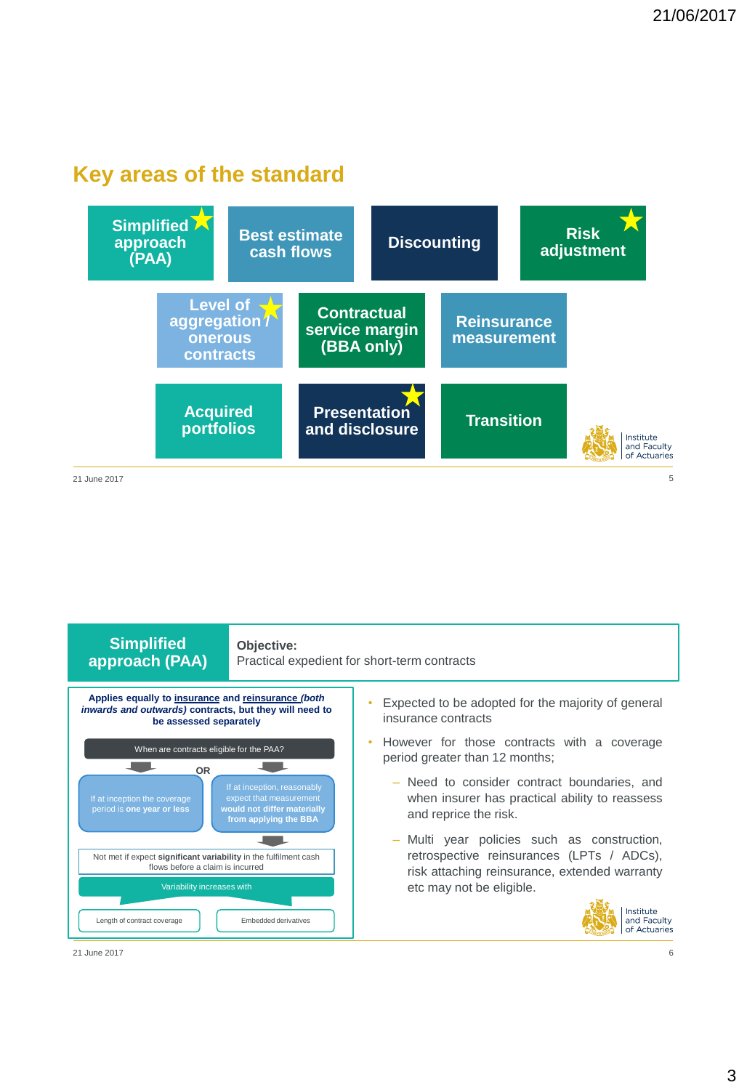### **Key areas of the standard**





21 June 2017 6

**Level of**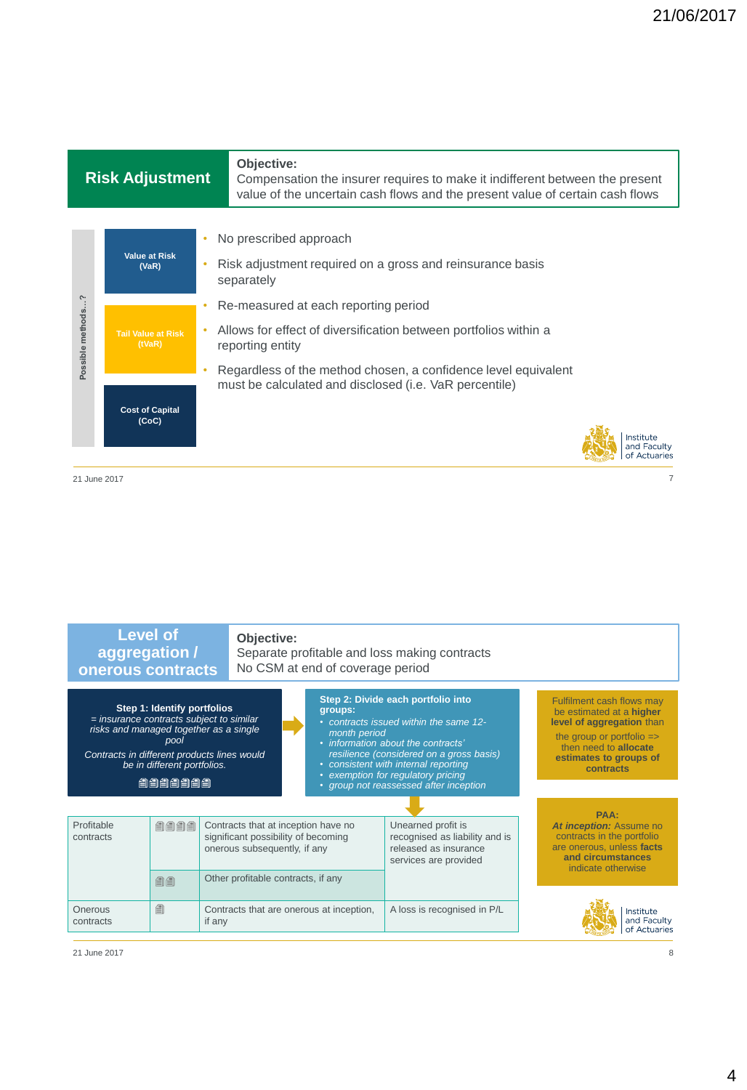### **onerous Risk Adjustment**

**Level of** 

#### **Objective:**

Compensation the insurer requires to make it indifferent between the present value of the uncertain cash flows and the present value of certain cash flows



21 June 2017 7

| <b>Level of</b><br>aggregation /<br>onerous contracts                                                                                                                                                               |      | Objective:<br>Separate profitable and loss making contracts<br>No CSM at end of coverage period            |                                          |  |                                                                                                                                                                                                                                                                                                                   |                                                                                                        |  |                                                                                                                                                                                            |
|---------------------------------------------------------------------------------------------------------------------------------------------------------------------------------------------------------------------|------|------------------------------------------------------------------------------------------------------------|------------------------------------------|--|-------------------------------------------------------------------------------------------------------------------------------------------------------------------------------------------------------------------------------------------------------------------------------------------------------------------|--------------------------------------------------------------------------------------------------------|--|--------------------------------------------------------------------------------------------------------------------------------------------------------------------------------------------|
| Step 1: Identify portfolios<br>$=$ insurance contracts subject to similar<br>risks and managed together as a single<br>pool<br>Contracts in different products lines would<br>be in different portfolios.<br>自自自自自自 |      |                                                                                                            |                                          |  | Step 2: Divide each portfolio into<br>groups:<br>• contracts issued within the same 12-<br>month period<br>• information about the contracts'<br>resilience (considered on a gross basis)<br>• consistent with internal reporting<br>• exemption for regulatory pricing<br>• group not reassessed after inception |                                                                                                        |  | Fulfilment cash flows may<br>be estimated at a higher<br>level of aggregation than<br>the group or portfolio $\Rightarrow$<br>then need to allocate<br>estimates to groups of<br>contracts |
|                                                                                                                                                                                                                     |      |                                                                                                            |                                          |  |                                                                                                                                                                                                                                                                                                                   |                                                                                                        |  |                                                                                                                                                                                            |
| Profitable<br>contracts                                                                                                                                                                                             | 自自自自 | Contracts that at inception have no<br>significant possibility of becoming<br>onerous subsequently, if any |                                          |  |                                                                                                                                                                                                                                                                                                                   | Unearned profit is<br>recognised as liability and is<br>released as insurance<br>services are provided |  | PAA:<br>At inception: Assume no<br>contracts in the portfolio<br>are onerous, unless facts<br>and circumstances<br>indicate otherwise                                                      |
|                                                                                                                                                                                                                     | 自自   | Other profitable contracts, if any                                                                         |                                          |  |                                                                                                                                                                                                                                                                                                                   |                                                                                                        |  |                                                                                                                                                                                            |
| Onerous<br>contracts                                                                                                                                                                                                | €    | if any                                                                                                     | Contracts that are onerous at inception, |  |                                                                                                                                                                                                                                                                                                                   | A loss is recognised in P/L                                                                            |  | Institute<br>and Faculty<br>of Actuaries                                                                                                                                                   |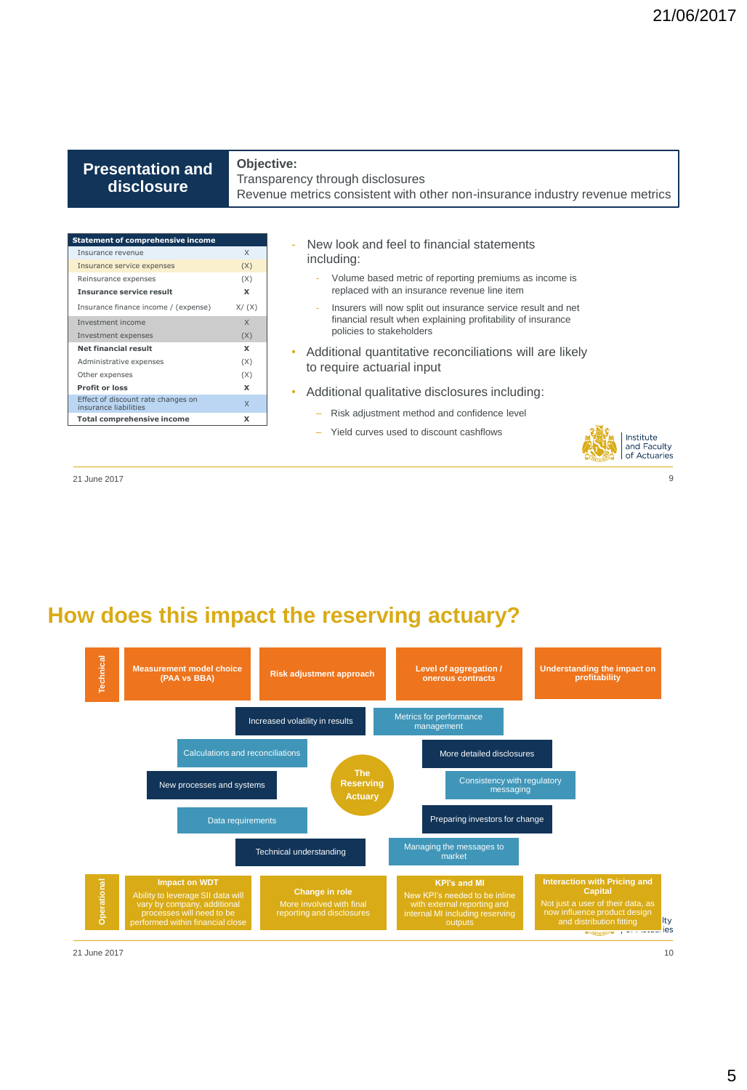#### **aggregation/ Presentation and onerous contracts disclosure**

**Level of** 

#### **Objective:**

Transparency through disclosures Revenue metrics consistent with other non-insurance industry revenue metrics

| <b>Statement of comprehensive income</b>                    |        |
|-------------------------------------------------------------|--------|
| Insurance revenue                                           | X      |
| Insurance service expenses                                  | (X)    |
| Reinsurance expenses                                        | (X)    |
| <b>Insurance service result</b>                             | x      |
| Insurance finance income / (expense)                        | X/ (X) |
| Investment income                                           | X      |
| Investment expenses                                         | (X)    |
| <b>Net financial result</b>                                 | x      |
| Administrative expenses                                     | (X)    |
| Other expenses                                              | (X)    |
| <b>Profit or loss</b>                                       | x      |
| Effect of discount rate changes on<br>insurance liabilities | X      |
| <b>Total comprehensive income</b>                           | x      |
|                                                             |        |

- New look and feel to financial statements including:
	- Volume based metric of reporting premiums as income is replaced with an insurance revenue line item
	- Insurers will now split out insurance service result and net financial result when explaining profitability of insurance policies to stakeholders
- Additional quantitative reconciliations will are likely to require actuarial input
- Additional qualitative disclosures including:
	- Risk adjustment method and confidence level
	- Yield curves used to discount cashflows



21 June 2017 9

### **How does this impact the reserving actuary?**

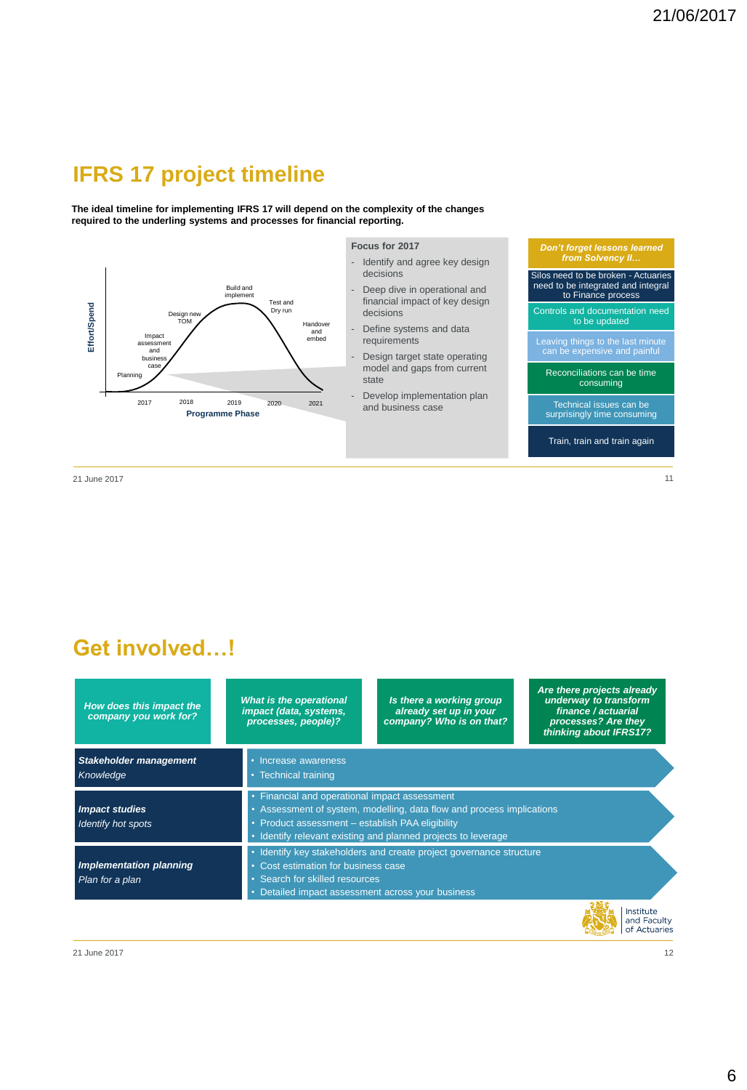# **IFRS 17 project timeline**

**The ideal timeline for implementing IFRS 17 will depend on the complexity of the changes required to the underling systems and processes for financial reporting.**



21 June 2017 11

**Get involved…!**

| How does this impact the<br>company you work for? | <b>What is the operational</b><br>impact (data, systems,<br>processes, people)? | Is there a working group<br>already set up in your<br>company? Who is on that?                                                                                                                                                              | Are there projects already<br>underway to transform<br>finance / actuarial<br>processes? Are they<br>thinking about IFRS17? |  |  |  |  |  |
|---------------------------------------------------|---------------------------------------------------------------------------------|---------------------------------------------------------------------------------------------------------------------------------------------------------------------------------------------------------------------------------------------|-----------------------------------------------------------------------------------------------------------------------------|--|--|--|--|--|
| <b>Stakeholder management</b><br>Knowledge        | • Increase awareness<br>• Technical training                                    |                                                                                                                                                                                                                                             |                                                                                                                             |  |  |  |  |  |
| <b>Impact studies</b><br>Identify hot spots       |                                                                                 | • Financial and operational impact assessment<br>• Assessment of system, modelling, data flow and process implications<br>• Product assessment - establish PAA eligibility<br>• Identify relevant existing and planned projects to leverage |                                                                                                                             |  |  |  |  |  |
| Implementation planning<br>Plan for a plan        |                                                                                 | Identify key stakeholders and create project governance structure<br>• Cost estimation for business case<br>• Search for skilled resources<br>• Detailed impact assessment across your business                                             |                                                                                                                             |  |  |  |  |  |
|                                                   |                                                                                 |                                                                                                                                                                                                                                             | Institute<br>and Faculty                                                                                                    |  |  |  |  |  |

6

of Actuaries